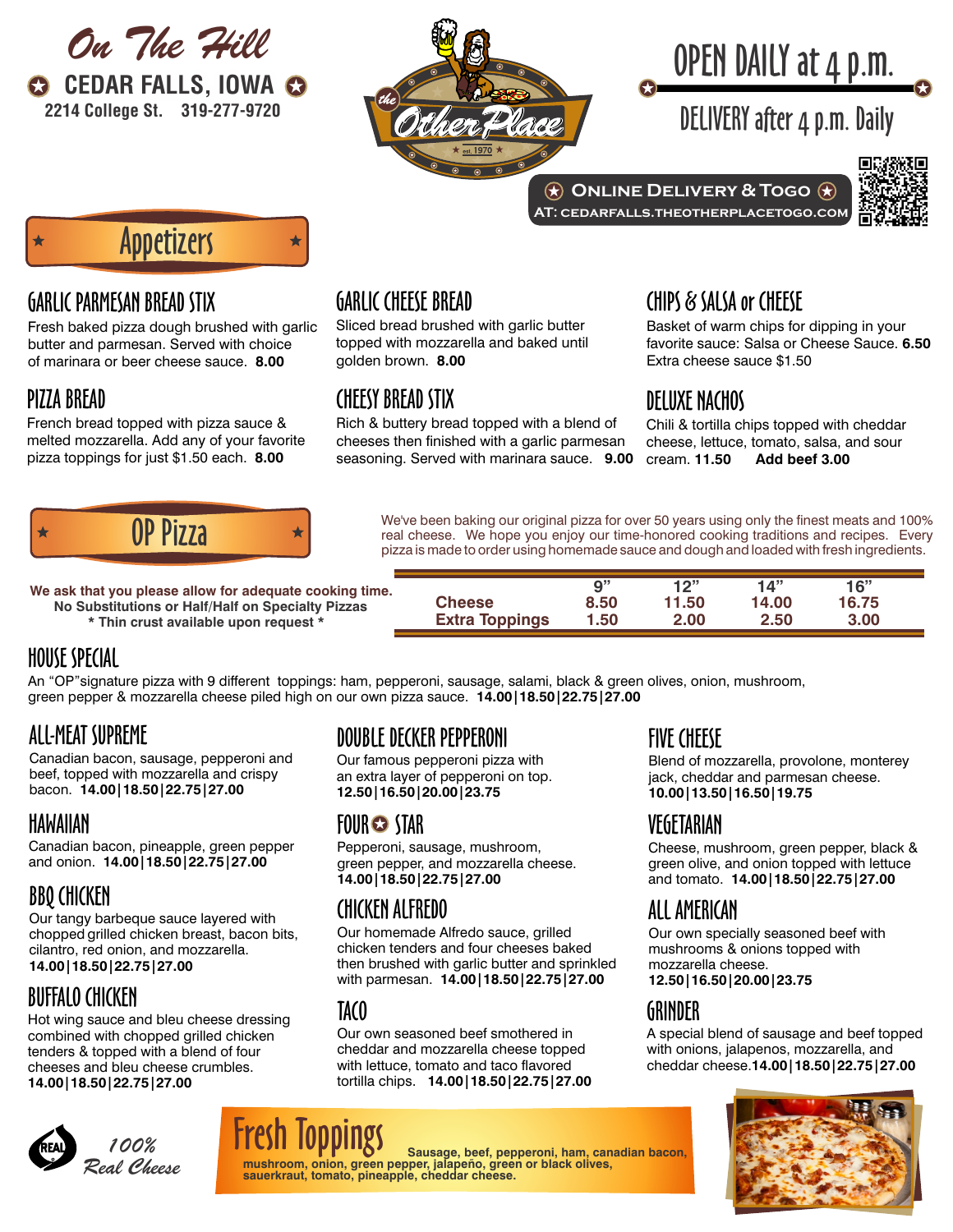



# OPEN DAILY at 4 p.m.

DELIVERY after 4 p.m. Daily



Appetizers

#### GARLIC PARMESAN BREAD STIX

Fresh baked pizza dough brushed with garlic butter and parmesan. Served with choice of marinara or beer cheese sauce. **8.00**

#### PIZZA BREAD

French bread topped with pizza sauce & melted mozzarella. Add any of your favorite pizza toppings for just \$1.50 each. **8.00**

### GARLIC CHEESE BREAD

 $\bigstar$ 

Sliced bread brushed with garlic butter topped with mozzarella and baked until golden brown. **8.00**

#### CHEESY BREAD STIX

Rich & buttery bread topped with a blend of cheeses then finished with a garlic parmesan seasoning. Served with marinara sauce. **9.00**

# CHIPS & SALSA or CHEESE

Basket of warm chips for dipping in your favorite sauce: Salsa or Cheese Sauce. **6.50** Extra cheese sauce \$1.50

# DELUXE NACHOS

**AT: cedarfalls.theotherplacetogo.com**

Chili & tortilla chips topped with cheddar cheese, lettuce, tomato, salsa, and sour cream. **11.50 Add beef 3.00** 



 $\begin{array}{c} \bigoplus \mathbf{P} \mathbf{Q} \mathbf{Z} \mathbf{Z} \mathbf{Z} \end{array}$  We've been baking our original pizza for over 50 years using only the finest meats and 100% real cheese. We hope you enjoy our time-honored cooking traditions and recipes. pizza is made to order using homemade sauce and dough and loaded with fresh ingredients.

**No Substitutions or Half/Half on Specialty Pizzas** We ask that you please allow for adequate cooking tim **\* Thin crust available upon request \***

| ne. |                       | $\mathbf{Q}^{11}$ | 12"   | 14"   | 16"   |  |
|-----|-----------------------|-------------------|-------|-------|-------|--|
|     | <b>Cheese</b>         | 8.50              | 11.50 | 14.00 | 16.75 |  |
|     | <b>Extra Toppings</b> | 50.،              | 2.00  | 2.50  | 3.00  |  |

# HOUSE SPECIAL

An "OP"signature pizza with 9 different toppings: ham, pepperoni, sausage, salami, black & green olives, onion, mushroom, green pepper & mozzarella cheese piled high on our own pizza sauce. **14.00|18.50|22.75|27.00**

# ALL-MEAT SUPREME

Canadian bacon, sausage, pepperoni and beef, topped with mozzarella and crispy bacon. **14.00|18.50|22.75|27.00**

#### HAWAIIAN

Canadian bacon, pineapple, green pepper and onion. **14.00|18.50|22.75|27.00**

# BBQ CHICKEN

Our tangy barbeque sauce layered with chopped grilled chicken breast, bacon bits, cilantro, red onion, and mozzarella. **14.00|18.50|22.75|27.00**

# BUFFALO CHICKEN

Hot wing sauce and bleu cheese dressing combined with chopped grilled chicken tenders & topped with a blend of four cheeses and bleu cheese crumbles. **14.00|18.50|22.75|27.00**



DOUBLE DECKER PEPPERONI

Our famous pepperoni pizza with an extra layer of pepperoni on top. **12.50|16.50|20.00|23.75**

# FOUR STAR

Pepperoni, sausage, mushroom, green pepper, and mozzarella cheese. **14.00|18.50|22.75|27.00**

# CHICKEN ALFREDO

Our homemade Alfredo sauce, grilled chicken tenders and four cheeses baked then brushed with garlic butter and sprinkled with parmesan. **14.00|18.50|22.75|27.00**

#### IACO

Our own seasoned beef smothered in cheddar and mozzarella cheese topped with lettuce, tomato and taco flavored tortilla chips. **14.00|18.50|22.75|27.00**

**mushroom, onion, green pepper, jalapeño, green or black olives, sauerkraut, tomato, pineapple, cheddar cheese.**

Sausage, beef, pepperoni, ham, canadian bacon,

# FIVE CHEESE

Blend of mozzarella, provolone, monterey jack, cheddar and parmesan cheese. **10.00|13.50|16.50|19.75**

# VEGETARIAN

Cheese, mushroom, green pepper, black & green olive, and onion topped with lettuce and tomato. **14.00|18.50|22.75|27.00**

# ALL AMERICAN

Our own specially seasoned beef with mushrooms & onions topped with mozzarella cheese. **12.50|16.50|20.00|23.75**

# GRINDER

A special blend of sausage and beef topped with onions, jalapenos, mozzarella, and cheddar cheese.**14.00|18.50|22.75|27.00**